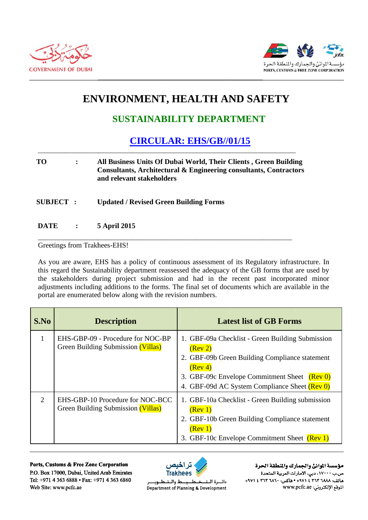



## **ENVIRONMENT, HEALTH AND SAFETY**

## **SUSTAINABILITY DEPARTMENT**

## **CIRCULAR: EHS/GB//01/15**

## **TO**  $\ddot{\cdot}$ All Business Units Of Dubai World, Their Clients, Green Building Consultants, Architectural & Engineering consultants, Contractors and relevant stakeholders

**SUBJECT: Updated / Revised Green Building Forms** 

**DATE** 5 April 2015  $\ddot{\cdot}$ 

Greetings from Trakhees-EHS!

As you are aware, EHS has a policy of continuous assessment of its Regulatory infrastructure. In this regard the Sustainability department reassessed the adequacy of the GB forms that are used by the stakeholders during project submission and had in the recent past incorporated minor adjustments including additions to the forms. The final set of documents which are available in the portal are enumerated below along with the revision numbers.

| S.No | <b>Description</b>                                                      | <b>Latest list of GB Forms</b>                                                                                                                                                                                            |
|------|-------------------------------------------------------------------------|---------------------------------------------------------------------------------------------------------------------------------------------------------------------------------------------------------------------------|
| 1    | EHS-GBP-09 - Procedure for NOC-BP<br>Green Building Submission (Villas) | 1. GBF-09a Checklist - Green Building Submission<br>(Rev 2)<br>2. GBF-09b Green Building Compliance statement<br>(Rev 4)<br>3. GBF-09c Envelope Commitment Sheet (Rev 0)<br>4. GBF-09d AC System Compliance Sheet (Rev 0) |
| 2    | EHS-GBP-10 Procedure for NOC-BCC<br>Green Building Submission (Villas)  | 1. GBF-10a Checklist - Green Building submission<br>(Rev 1)<br>2. GBF-10b Green Building Compliance statement<br>(Rev 1)<br>3. GBF-10c Envelope Commitment Sheet (Rev 1)                                                  |

Ports, Customs & Free Zone Corporation P.O. Box 17000, Dubai, United Arab Emirates Tel: +971 4 363 6888 • Fax: +971 4 363 6860 Web Site: www.pcfc.ae



ط والــتـ دائسرة اللت طـــوب Department of Planning & Development

مؤسسة الموانئ والجمارك والنطقة الحرة ص.ب ١٧٠٠٠، دبي، الأمارات العربية المتحدة ماتف: ٢٦٨٨ ٣٦٣ ٢ ٤ ٤٧١١ ٠ ماكس: ٢٦٢ ٢ ٢٦٢ ٤ ٤٧١١ الموقع الإلكتروني: www.pcfc.ae